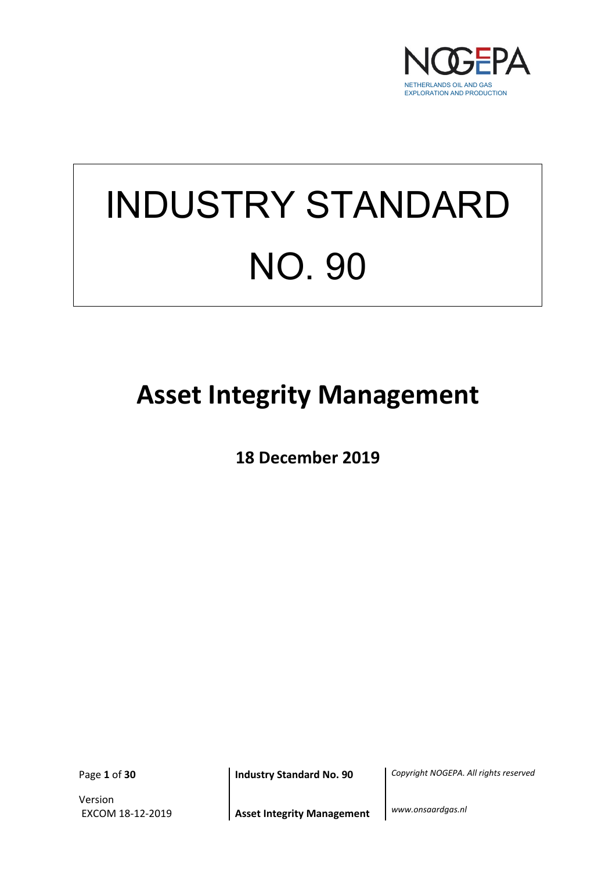

# INDUSTRY STANDARD NO. 90

## **Asset Integrity Management**

**18 December 2019**

Version

Page **1** of **30 Industry Standard No. 90** *Copyright NOGEPA. All rights reserved*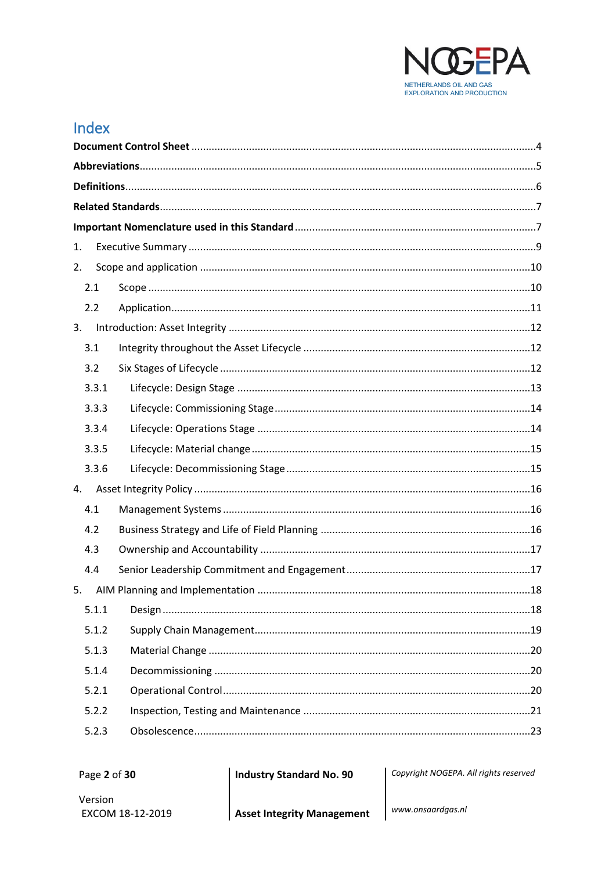

### Index

| 1. |       |  |  |
|----|-------|--|--|
| 2. |       |  |  |
|    | 2.1   |  |  |
|    | 2.2   |  |  |
| 3. |       |  |  |
|    | 3.1   |  |  |
|    | 3.2   |  |  |
|    | 3.3.1 |  |  |
|    | 3.3.3 |  |  |
|    | 3.3.4 |  |  |
|    | 3.3.5 |  |  |
|    | 3.3.6 |  |  |
| 4. |       |  |  |
|    | 4.1   |  |  |
|    | 4.2   |  |  |
|    | 4.3   |  |  |
|    | 4.4   |  |  |
| 5. |       |  |  |
|    | 5.1.1 |  |  |
|    | 5.1.2 |  |  |
|    | 5.1.3 |  |  |
|    | 5.1.4 |  |  |
|    | 5.2.1 |  |  |
|    | 5.2.2 |  |  |
|    | 5.2.3 |  |  |

**Industry Standard No. 90** 

Copyright NOGEPA. All rights reserved

www.onsaardgas.nl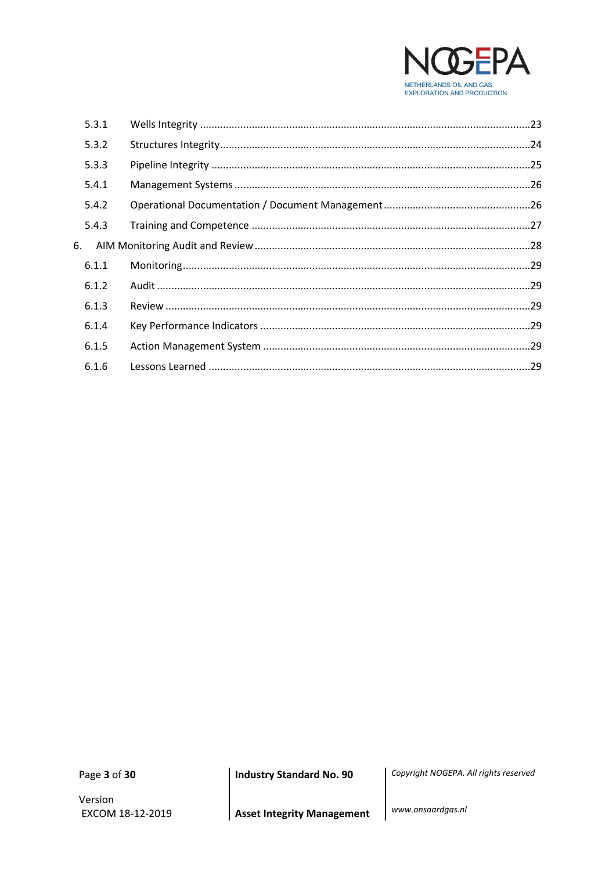

| 5.3.1 |  |
|-------|--|
| 5.3.2 |  |
| 5.3.3 |  |
| 5.4.1 |  |
| 5.4.2 |  |
| 5.4.3 |  |
| 6.    |  |
| 6.1.1 |  |
| 6.1.2 |  |
| 6.1.3 |  |
| 6.1.4 |  |
| 6.1.5 |  |
| 6.1.6 |  |

Page 3 of 30

Version EXCOM 18-12-2019 **Industry Standard No. 90** 

Copyright NOGEPA. All rights reserved

www.onsaardgas.nl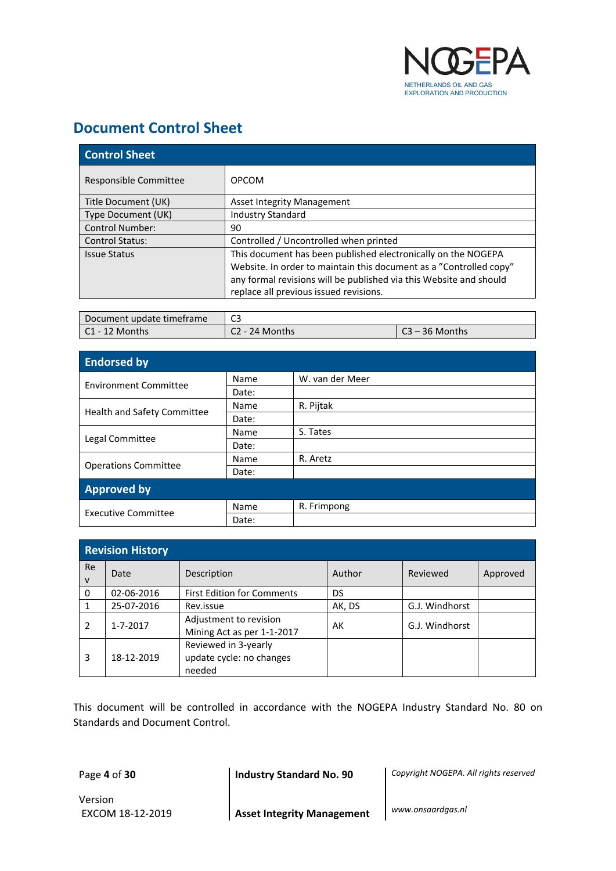

### <span id="page-3-0"></span>**Document Control Sheet**

| <b>Control Sheet</b>   |                                                                    |  |
|------------------------|--------------------------------------------------------------------|--|
| Responsible Committee  | <b>OPCOM</b>                                                       |  |
| Title Document (UK)    | <b>Asset Integrity Management</b>                                  |  |
| Type Document (UK)     | <b>Industry Standard</b>                                           |  |
| <b>Control Number:</b> | 90                                                                 |  |
| <b>Control Status:</b> | Controlled / Uncontrolled when printed                             |  |
| <b>Issue Status</b>    | This document has been published electronically on the NOGEPA      |  |
|                        | Website. In order to maintain this document as a "Controlled copy" |  |
|                        | any formal revisions will be published via this Website and should |  |
|                        | replace all previous issued revisions.                             |  |

| Document update timeframe | C <sub>2</sub><br>دب |             |
|---------------------------|----------------------|-------------|
| C1 - 12 Months            | $C2$ - 24 Months     | – 36 Months |

| <b>Endorsed by</b>           |       |                 |
|------------------------------|-------|-----------------|
| <b>Environment Committee</b> | Name  | W. van der Meer |
|                              | Date: |                 |
|                              | Name  | R. Pijtak       |
| Health and Safety Committee  | Date: |                 |
| Legal Committee              | Name  | S. Tates        |
|                              | Date: |                 |
|                              | Name  | R. Aretz        |
| <b>Operations Committee</b>  | Date: |                 |
| <b>Approved by</b>           |       |                 |
| <b>Executive Committee</b>   | Name  | R. Frimpong     |
|                              | Date: |                 |

| <b>Revision History</b> |            |                                                            |        |                |          |
|-------------------------|------------|------------------------------------------------------------|--------|----------------|----------|
| Re<br>$\mathsf{v}$      | Date       | Description                                                | Author | Reviewed       | Approved |
| 0                       | 02-06-2016 | <b>First Edition for Comments</b>                          | DS     |                |          |
|                         | 25-07-2016 | Rev.issue                                                  | AK, DS | G.J. Windhorst |          |
| 2                       | 1-7-2017   | Adjustment to revision<br>Mining Act as per 1-1-2017       | AK     | G.J. Windhorst |          |
| 3                       | 18-12-2019 | Reviewed in 3-yearly<br>update cycle: no changes<br>needed |        |                |          |

This document will be controlled in accordance with the NOGEPA Industry Standard No. 80 on Standards and Document Control.

Page **4** of **30 Industry Standard No. 90** *Copyright NOGEPA. All rights reserved*

Version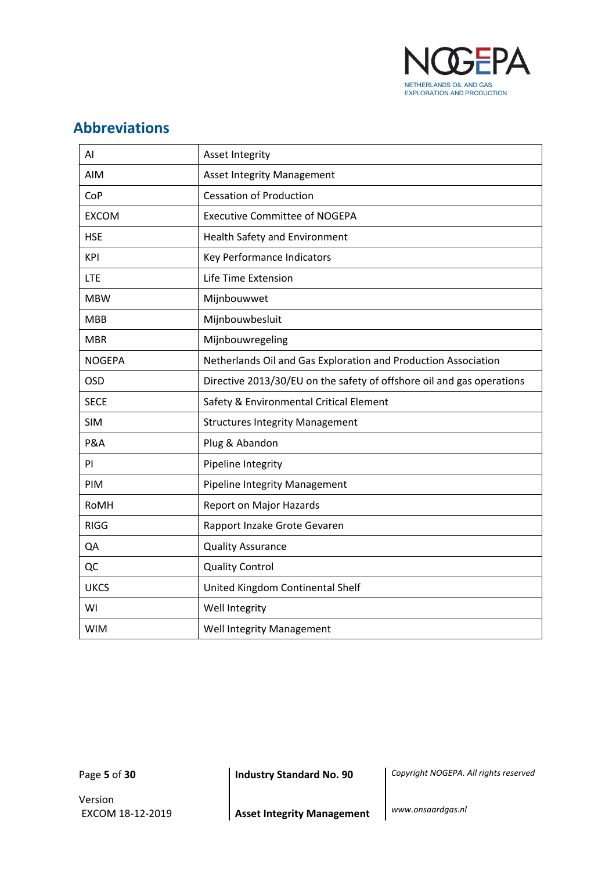

### <span id="page-4-0"></span>**Abbreviations**

| ΑI            | <b>Asset Integrity</b>                                                |
|---------------|-----------------------------------------------------------------------|
| AIM           | <b>Asset Integrity Management</b>                                     |
| CoP           | <b>Cessation of Production</b>                                        |
| <b>EXCOM</b>  | <b>Executive Committee of NOGEPA</b>                                  |
| <b>HSE</b>    | Health Safety and Environment                                         |
| <b>KPI</b>    | Key Performance Indicators                                            |
| <b>LTE</b>    | Life Time Extension                                                   |
| <b>MBW</b>    | Mijnbouwwet                                                           |
| <b>MBB</b>    | Mijnbouwbesluit                                                       |
| <b>MBR</b>    | Mijnbouwregeling                                                      |
| <b>NOGEPA</b> | Netherlands Oil and Gas Exploration and Production Association        |
| <b>OSD</b>    | Directive 2013/30/EU on the safety of offshore oil and gas operations |
| <b>SECE</b>   | Safety & Environmental Critical Element                               |
| <b>SIM</b>    | <b>Structures Integrity Management</b>                                |
| P&A           | Plug & Abandon                                                        |
| PI            | Pipeline Integrity                                                    |
| PIM           | <b>Pipeline Integrity Management</b>                                  |
| RoMH          | Report on Major Hazards                                               |
| <b>RIGG</b>   | Rapport Inzake Grote Gevaren                                          |
| QA            | <b>Quality Assurance</b>                                              |
| QC            | <b>Quality Control</b>                                                |
| <b>UKCS</b>   | United Kingdom Continental Shelf                                      |
| WI            | Well Integrity                                                        |
| <b>WIM</b>    | Well Integrity Management                                             |

<span id="page-4-1"></span>Page **5** of **30 Industry Standard No. 90** *Copyright NOGEPA. All rights reserved*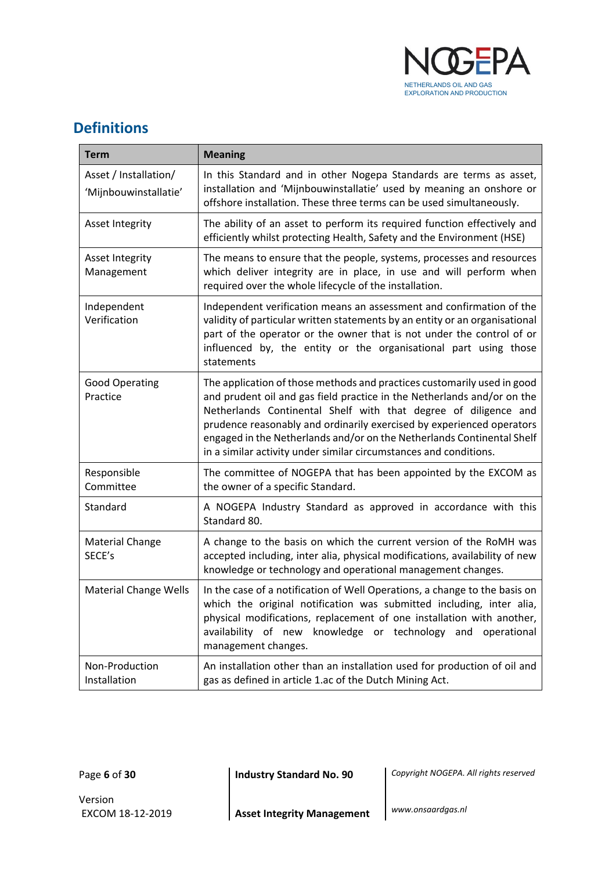

### **Definitions**

| <b>Term</b>                                    | <b>Meaning</b>                                                                                                                                                                                                                                                                                                                                                                                                                                |  |  |
|------------------------------------------------|-----------------------------------------------------------------------------------------------------------------------------------------------------------------------------------------------------------------------------------------------------------------------------------------------------------------------------------------------------------------------------------------------------------------------------------------------|--|--|
| Asset / Installation/<br>'Mijnbouwinstallatie' | In this Standard and in other Nogepa Standards are terms as asset,<br>installation and 'Mijnbouwinstallatie' used by meaning an onshore or<br>offshore installation. These three terms can be used simultaneously.                                                                                                                                                                                                                            |  |  |
| <b>Asset Integrity</b>                         | The ability of an asset to perform its required function effectively and<br>efficiently whilst protecting Health, Safety and the Environment (HSE)                                                                                                                                                                                                                                                                                            |  |  |
| <b>Asset Integrity</b><br>Management           | The means to ensure that the people, systems, processes and resources<br>which deliver integrity are in place, in use and will perform when<br>required over the whole lifecycle of the installation.                                                                                                                                                                                                                                         |  |  |
| Independent<br>Verification                    | Independent verification means an assessment and confirmation of the<br>validity of particular written statements by an entity or an organisational<br>part of the operator or the owner that is not under the control of or<br>influenced by, the entity or the organisational part using those<br>statements                                                                                                                                |  |  |
| <b>Good Operating</b><br>Practice              | The application of those methods and practices customarily used in good<br>and prudent oil and gas field practice in the Netherlands and/or on the<br>Netherlands Continental Shelf with that degree of diligence and<br>prudence reasonably and ordinarily exercised by experienced operators<br>engaged in the Netherlands and/or on the Netherlands Continental Shelf<br>in a similar activity under similar circumstances and conditions. |  |  |
| Responsible<br>Committee                       | The committee of NOGEPA that has been appointed by the EXCOM as<br>the owner of a specific Standard.                                                                                                                                                                                                                                                                                                                                          |  |  |
| Standard                                       | A NOGEPA Industry Standard as approved in accordance with this<br>Standard 80.                                                                                                                                                                                                                                                                                                                                                                |  |  |
| <b>Material Change</b><br>SECE's               | A change to the basis on which the current version of the RoMH was<br>accepted including, inter alia, physical modifications, availability of new<br>knowledge or technology and operational management changes.                                                                                                                                                                                                                              |  |  |
| <b>Material Change Wells</b>                   | In the case of a notification of Well Operations, a change to the basis on<br>which the original notification was submitted including, inter alia,<br>physical modifications, replacement of one installation with another,<br>availability of new<br>knowledge or technology and operational<br>management changes.                                                                                                                          |  |  |
| Non-Production<br>Installation                 | An installation other than an installation used for production of oil and<br>gas as defined in article 1.ac of the Dutch Mining Act.                                                                                                                                                                                                                                                                                                          |  |  |

Page **6** of **30 Industry Standard No. 90** *Copyright NOGEPA. All rights reserved*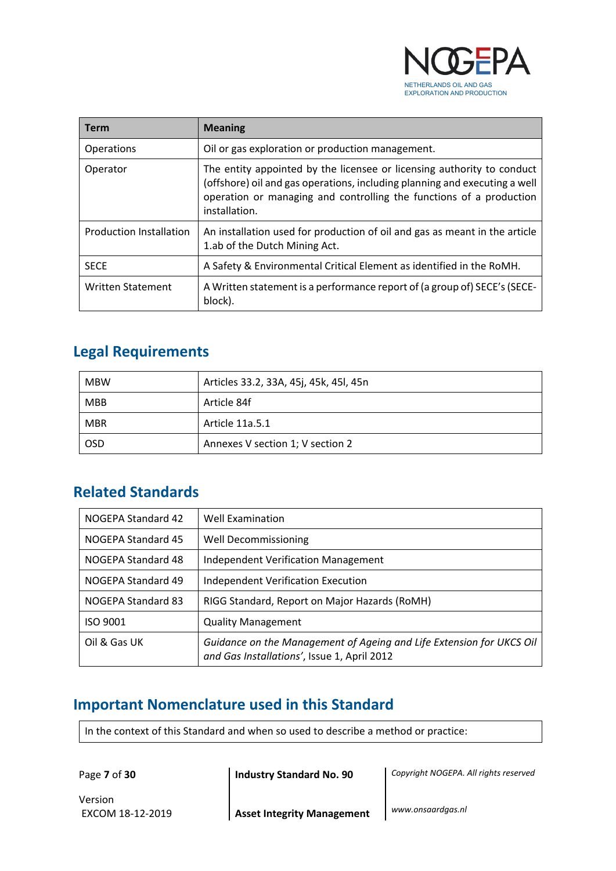

| Term                           | <b>Meaning</b>                                                                                                                                                                                                                               |  |  |
|--------------------------------|----------------------------------------------------------------------------------------------------------------------------------------------------------------------------------------------------------------------------------------------|--|--|
| <b>Operations</b>              | Oil or gas exploration or production management.                                                                                                                                                                                             |  |  |
| Operator                       | The entity appointed by the licensee or licensing authority to conduct<br>(offshore) oil and gas operations, including planning and executing a well<br>operation or managing and controlling the functions of a production<br>installation. |  |  |
| <b>Production Installation</b> | An installation used for production of oil and gas as meant in the article<br>1.ab of the Dutch Mining Act.                                                                                                                                  |  |  |
| <b>SECE</b>                    | A Safety & Environmental Critical Element as identified in the RoMH.                                                                                                                                                                         |  |  |
| <b>Written Statement</b>       | A Written statement is a performance report of (a group of) SECE's (SECE-<br>block).                                                                                                                                                         |  |  |

### **Legal Requirements**

| <b>MBW</b> | Articles 33.2, 33A, 45j, 45k, 45l, 45n |
|------------|----------------------------------------|
| <b>MBB</b> | Article 84f                            |
| <b>MBR</b> | Article 11a.5.1                        |
| <b>OSD</b> | Annexes V section 1; V section 2       |

### <span id="page-6-0"></span>**Related Standards**

| NOGEPA Standard 42 | Well Examination                                                                                                    |
|--------------------|---------------------------------------------------------------------------------------------------------------------|
| NOGEPA Standard 45 | Well Decommissioning                                                                                                |
| NOGEPA Standard 48 | Independent Verification Management                                                                                 |
| NOGEPA Standard 49 | <b>Independent Verification Execution</b>                                                                           |
| NOGEPA Standard 83 | RIGG Standard, Report on Major Hazards (RoMH)                                                                       |
| <b>ISO 9001</b>    | <b>Quality Management</b>                                                                                           |
| Oil & Gas UK       | Guidance on the Management of Ageing and Life Extension for UKCS Oil<br>and Gas Installations', Issue 1, April 2012 |

### <span id="page-6-1"></span>**Important Nomenclature used in this Standard**

In the context of this Standard and when so used to describe a method or practice:

Page **7** of **30 Industry Standard No. 90** *Copyright NOGEPA. All rights reserved*

Version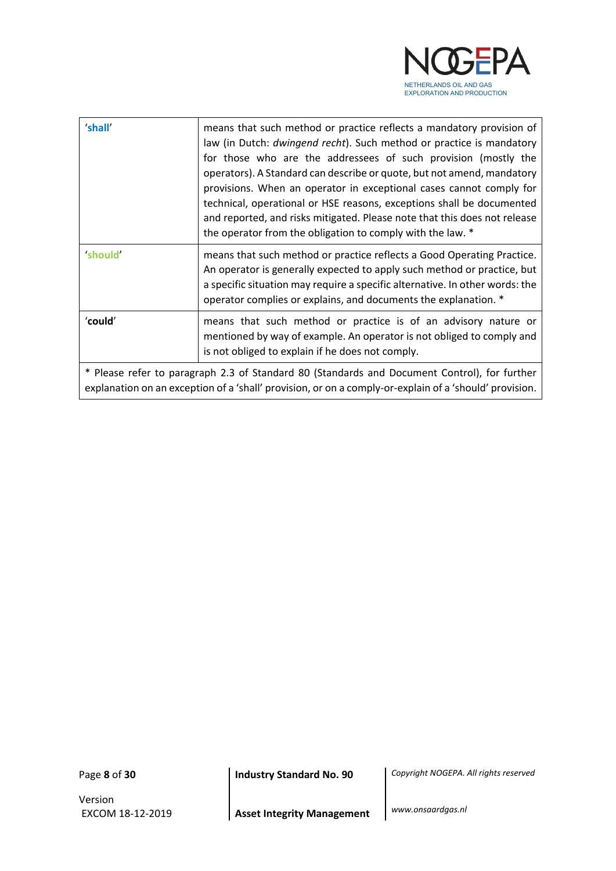

| 'shall'                                                                                                                                                                                                | means that such method or practice reflects a mandatory provision of<br>law (in Dutch: dwingend recht). Such method or practice is mandatory<br>for those who are the addressees of such provision (mostly the<br>operators). A Standard can describe or quote, but not amend, mandatory<br>provisions. When an operator in exceptional cases cannot comply for<br>technical, operational or HSE reasons, exceptions shall be documented<br>and reported, and risks mitigated. Please note that this does not release<br>the operator from the obligation to comply with the law. * |  |
|--------------------------------------------------------------------------------------------------------------------------------------------------------------------------------------------------------|-------------------------------------------------------------------------------------------------------------------------------------------------------------------------------------------------------------------------------------------------------------------------------------------------------------------------------------------------------------------------------------------------------------------------------------------------------------------------------------------------------------------------------------------------------------------------------------|--|
| 'should'                                                                                                                                                                                               | means that such method or practice reflects a Good Operating Practice.<br>An operator is generally expected to apply such method or practice, but<br>a specific situation may require a specific alternative. In other words: the<br>operator complies or explains, and documents the explanation. *                                                                                                                                                                                                                                                                                |  |
| 'could'                                                                                                                                                                                                | means that such method or practice is of an advisory nature or<br>mentioned by way of example. An operator is not obliged to comply and<br>is not obliged to explain if he does not comply.                                                                                                                                                                                                                                                                                                                                                                                         |  |
| * Please refer to paragraph 2.3 of Standard 80 (Standards and Document Control), for further<br>explanation on an exception of a 'shall' provision, or on a comply-or-explain of a 'should' provision. |                                                                                                                                                                                                                                                                                                                                                                                                                                                                                                                                                                                     |  |

Version

Page **8** of **30 Industry Standard No. 90** *Copyright NOGEPA. All rights reserved*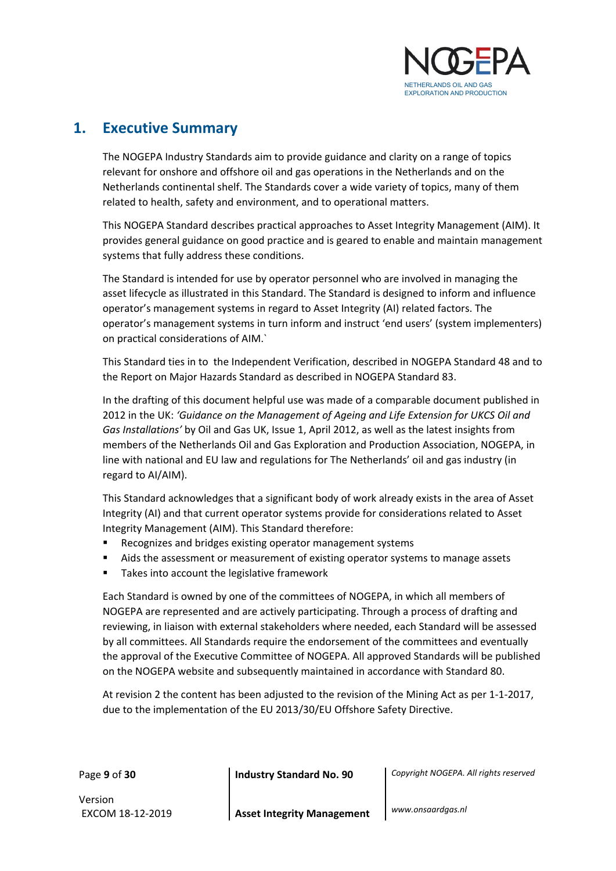

### <span id="page-8-0"></span>**1. Executive Summary**

The NOGEPA Industry Standards aim to provide guidance and clarity on a range of topics relevant for onshore and offshore oil and gas operations in the Netherlands and on the Netherlands continental shelf. The Standards cover a wide variety of topics, many of them related to health, safety and environment, and to operational matters.

This NOGEPA Standard describes practical approaches to Asset Integrity Management (AIM). It provides general guidance on good practice and is geared to enable and maintain management systems that fully address these conditions.

The Standard is intended for use by operator personnel who are involved in managing the asset lifecycle as illustrated in this Standard. The Standard is designed to inform and influence operator's management systems in regard to Asset Integrity (AI) related factors. The operator's management systems in turn inform and instruct 'end users' (system implementers) on practical considerations of AIM.`

This Standard ties in to the Independent Verification, described in NOGEPA Standard 48 and to the Report on Major Hazards Standard as described in NOGEPA Standard 83.

In the drafting of this document helpful use was made of a comparable document published in 2012 in the UK: *'Guidance on the Management of Ageing and Life Extension for UKCS Oil and Gas Installations'* by Oil and Gas UK, Issue 1, April 2012, as well as the latest insights from members of the Netherlands Oil and Gas Exploration and Production Association, NOGEPA, in line with national and EU law and regulations for The Netherlands' oil and gas industry (in regard to AI/AIM).

This Standard acknowledges that a significant body of work already exists in the area of Asset Integrity (AI) and that current operator systems provide for considerations related to Asset Integrity Management (AIM). This Standard therefore:

- Recognizes and bridges existing operator management systems
- Aids the assessment or measurement of existing operator systems to manage assets
- **Takes into account the legislative framework**

Each Standard is owned by one of the committees of NOGEPA, in which all members of NOGEPA are represented and are actively participating. Through a process of drafting and reviewing, in liaison with external stakeholders where needed, each Standard will be assessed by all committees. All Standards require the endorsement of the committees and eventually the approval of the Executive Committee of NOGEPA. All approved Standards will be published on the NOGEPA website and subsequently maintained in accordance with Standard 80.

At revision 2 the content has been adjusted to the revision of the Mining Act as per 1-1-2017, due to the implementation of the EU 2013/30/EU Offshore Safety Directive.

Page **9** of **30 Industry Standard No. 90** *Copyright NOGEPA. All rights reserved*

Version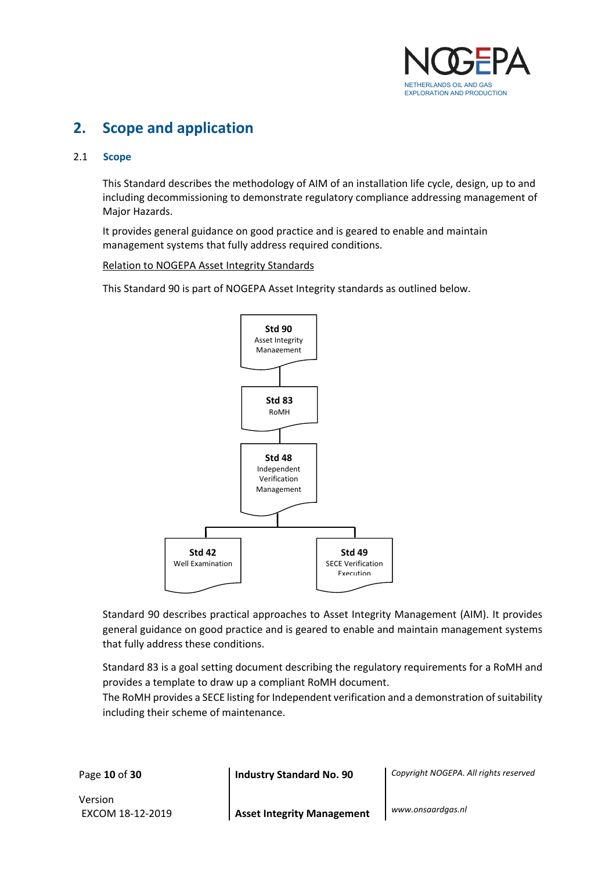

### <span id="page-9-0"></span>**2. Scope and application**

### <span id="page-9-1"></span>2.1 **Scope**

This Standard describes the methodology of AIM of an installation life cycle, design, up to and including decommissioning to demonstrate regulatory compliance addressing management of Major Hazards.

It provides general guidance on good practice and is geared to enable and maintain management systems that fully address required conditions.

### Relation to NOGEPA Asset Integrity Standards

This Standard 90 is part of NOGEPA Asset Integrity standards as outlined below.



Standard 90 describes practical approaches to Asset Integrity Management (AIM). It provides general guidance on good practice and is geared to enable and maintain management systems that fully address these conditions.

 Standard 83 is a goal setting document describing the regulatory requirements for a RoMH and provides a template to draw up a compliant RoMH document.

The RoMH provides a SECE listing for Independent verification and a demonstration of suitability including their scheme of maintenance.

Page **10** of **30 Industry Standard No. 90** *Copyright NOGEPA. All rights reserved*

Version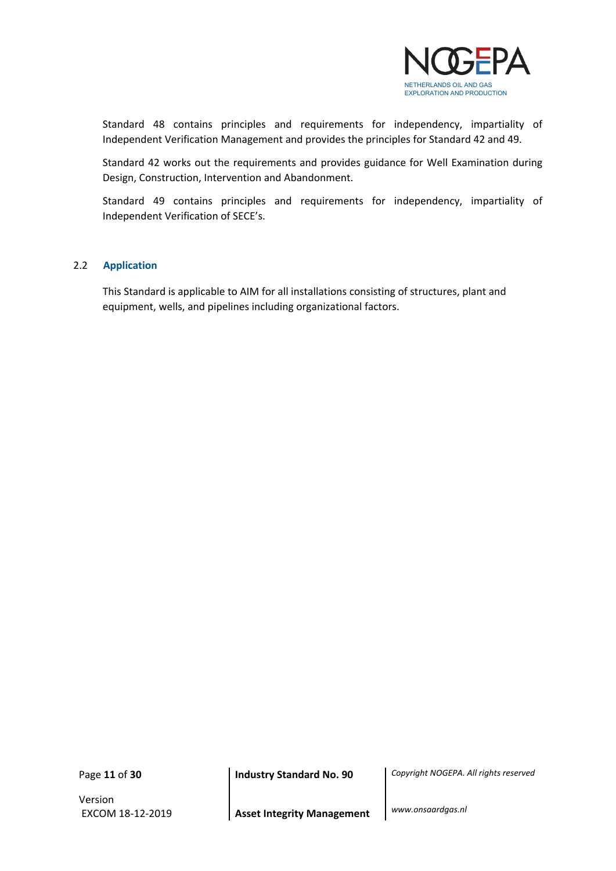

Standard 48 contains principles and requirements for independency, impartiality of Independent Verification Management and provides the principles for Standard 42 and 49.

Standard 42 works out the requirements and provides guidance for Well Examination during Design, Construction, Intervention and Abandonment.

Standard 49 contains principles and requirements for independency, impartiality of Independent Verification of SECE's.

### <span id="page-10-0"></span>2.2 **Application**

This Standard is applicable to AIM for all installations consisting of structures, plant and equipment, wells, and pipelines including organizational factors.

Version

Page **11** of **30 Industry Standard No. 90** *Copyright NOGEPA. All rights reserved*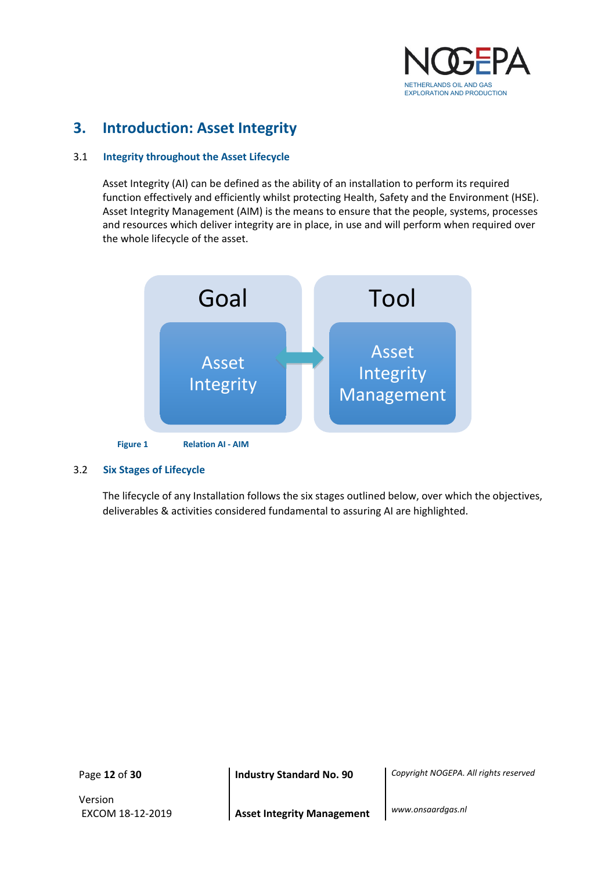

### <span id="page-11-0"></span>**3. Introduction: Asset Integrity**

### <span id="page-11-1"></span>3.1 **Integrity throughout the Asset Lifecycle**

Asset Integrity (AI) can be defined as the ability of an installation to perform its required function effectively and efficiently whilst protecting Health, Safety and the Environment (HSE). Asset Integrity Management (AIM) is the means to ensure that the people, systems, processes and resources which deliver integrity are in place, in use and will perform when required over the whole lifecycle of the asset.



### <span id="page-11-2"></span>3.2 **Six Stages of Lifecycle**

The lifecycle of any Installation follows the six stages outlined below, over which the objectives, deliverables & activities considered fundamental to assuring AI are highlighted.

Version

Page **12** of **30 Industry Standard No. 90** *Copyright NOGEPA. All rights reserved*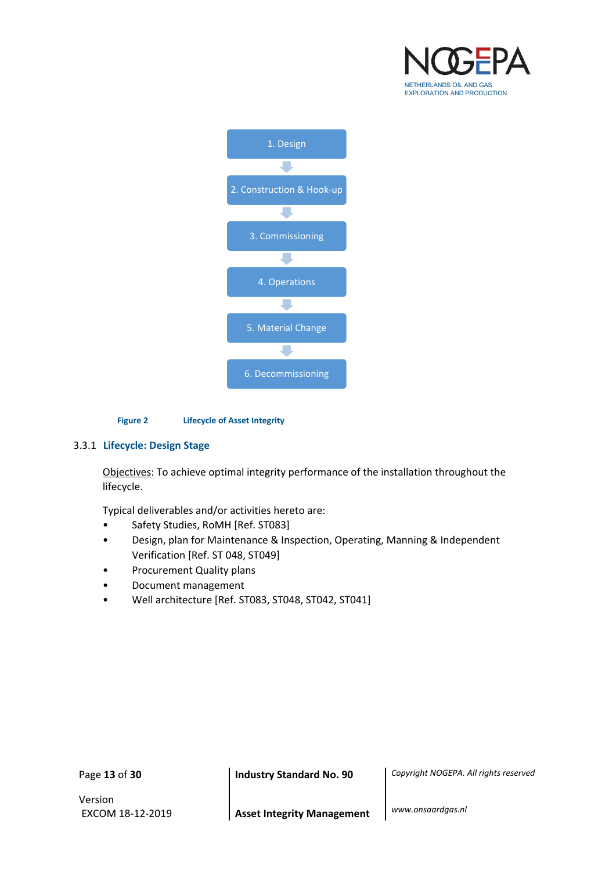





### <span id="page-12-0"></span>3.3.1 **Lifecycle: Design Stage**

Objectives: To achieve optimal integrity performance of the installation throughout the lifecycle.

Typical deliverables and/or activities hereto are:

- Safety Studies, RoMH [Ref. ST083]
- Design, plan for Maintenance & Inspection, Operating, Manning & Independent Verification [Ref. ST 048, ST049]
- Procurement Quality plans
- Document management
- Well architecture [Ref. ST083, ST048, ST042, ST041]

|  | Page 13 of 30 |  |  |  |  |
|--|---------------|--|--|--|--|
|--|---------------|--|--|--|--|

Version

Page **13** of **30 Industry Standard No. 90** *Copyright NOGEPA. All rights reserved*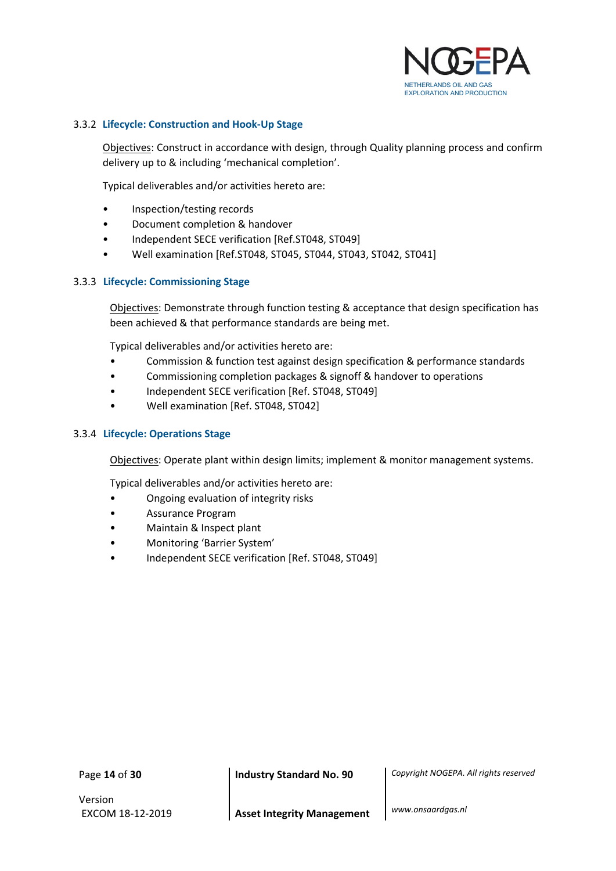

### 3.3.2 **Lifecycle: Construction and Hook-Up Stage**

 Objectives: Construct in accordance with design, through Quality planning process and confirm delivery up to & including 'mechanical completion'.

Typical deliverables and/or activities hereto are:

- Inspection/testing records
- Document completion & handover
- Independent SECE verification [Ref.ST048, ST049]
- Well examination [Ref.ST048, ST045, ST044, ST043, ST042, ST041]

#### <span id="page-13-0"></span>3.3.3 **Lifecycle: Commissioning Stage**

Objectives: Demonstrate through function testing & acceptance that design specification has been achieved & that performance standards are being met.

Typical deliverables and/or activities hereto are:

- Commission & function test against design specification & performance standards
- Commissioning completion packages & signoff & handover to operations
- Independent SECE verification [Ref. ST048, ST049]
- Well examination [Ref. ST048, ST042]

#### <span id="page-13-1"></span>3.3.4 **Lifecycle: Operations Stage**

Objectives: Operate plant within design limits; implement & monitor management systems.

Typical deliverables and/or activities hereto are:

- Ongoing evaluation of integrity risks
- Assurance Program
- Maintain & Inspect plant
- Monitoring 'Barrier System'
- Independent SECE verification [Ref. ST048, ST049]

Version

Page **14** of **30 Industry Standard No. 90** *Copyright NOGEPA. All rights reserved*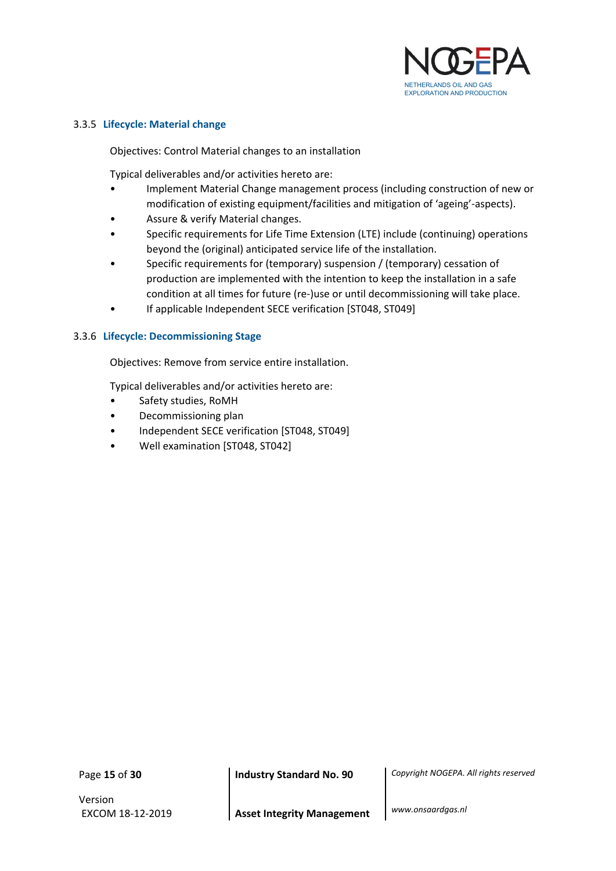

### <span id="page-14-0"></span>3.3.5 **Lifecycle: Material change**

Objectives: Control Material changes to an installation

Typical deliverables and/or activities hereto are:

- Implement Material Change management process (including construction of new or modification of existing equipment/facilities and mitigation of 'ageing'-aspects).
- Assure & verify Material changes.
- Specific requirements for Life Time Extension (LTE) include (continuing) operations beyond the (original) anticipated service life of the installation.
- Specific requirements for (temporary) suspension / (temporary) cessation of production are implemented with the intention to keep the installation in a safe condition at all times for future (re-)use or until decommissioning will take place.
- If applicable Independent SECE verification [ST048, ST049]

### <span id="page-14-1"></span>3.3.6 **Lifecycle: Decommissioning Stage**

Objectives: Remove from service entire installation.

Typical deliverables and/or activities hereto are:

- Safety studies, RoMH
- Decommissioning plan
- Independent SECE verification [ST048, ST049]
- Well examination [ST048, ST042]

Version

Page **15** of **30 Industry Standard No. 90** *Copyright NOGEPA. All rights reserved*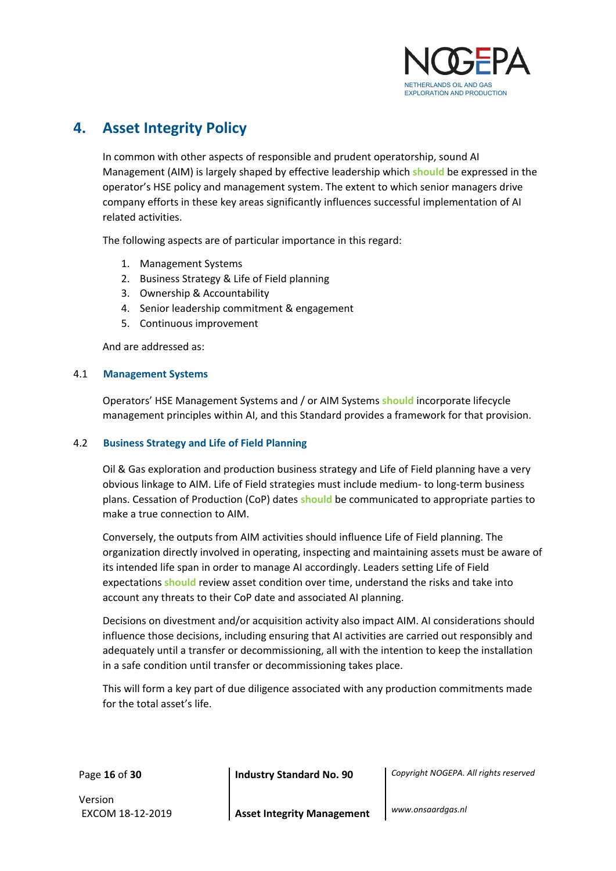

### <span id="page-15-0"></span>**4. Asset Integrity Policy**

In common with other aspects of responsible and prudent operatorship, sound AI Management (AIM) is largely shaped by effective leadership which **should** be expressed in the operator's HSE policy and management system. The extent to which senior managers drive company efforts in these key areas significantly influences successful implementation of AI related activities.

The following aspects are of particular importance in this regard:

- 1. Management Systems
- 2. Business Strategy & Life of Field planning
- 3. Ownership & Accountability
- 4. Senior leadership commitment & engagement
- 5. Continuous improvement

And are addressed as:

### <span id="page-15-1"></span>4.1 **Management Systems**

Operators' HSE Management Systems and / or AIM Systems **should** incorporate lifecycle management principles within AI, and this Standard provides a framework for that provision.

### <span id="page-15-2"></span>4.2 **Business Strategy and Life of Field Planning**

Oil & Gas exploration and production business strategy and Life of Field planning have a very obvious linkage to AIM. Life of Field strategies must include medium- to long-term business plans. Cessation of Production (CoP) dates **should** be communicated to appropriate parties to make a true connection to AIM.

Conversely, the outputs from AIM activities should influence Life of Field planning. The organization directly involved in operating, inspecting and maintaining assets must be aware of its intended life span in order to manage AI accordingly. Leaders setting Life of Field expectations **should** review asset condition over time, understand the risks and take into account any threats to their CoP date and associated AI planning.

Decisions on divestment and/or acquisition activity also impact AIM. AI considerations should influence those decisions, including ensuring that AI activities are carried out responsibly and adequately until a transfer or decommissioning, all with the intention to keep the installation in a safe condition until transfer or decommissioning takes place.

This will form a key part of due diligence associated with any production commitments made for the total asset's life.

Page **16** of **30 Industry Standard No. 90** *Copyright NOGEPA. All rights reserved*

Version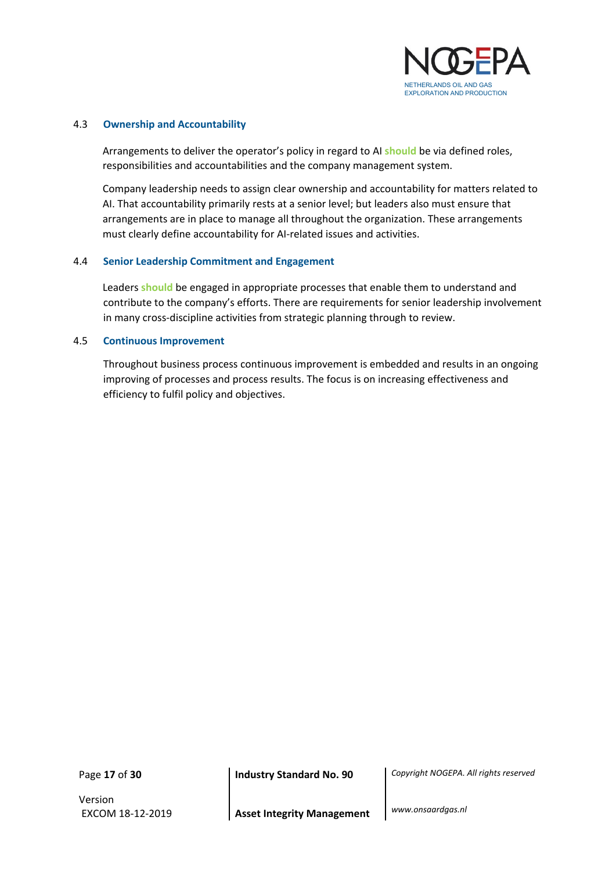

### <span id="page-16-0"></span>4.3 **Ownership and Accountability**

Arrangements to deliver the operator's policy in regard to AI **should** be via defined roles, responsibilities and accountabilities and the company management system.

Company leadership needs to assign clear ownership and accountability for matters related to AI. That accountability primarily rests at a senior level; but leaders also must ensure that arrangements are in place to manage all throughout the organization. These arrangements must clearly define accountability for AI-related issues and activities.

#### <span id="page-16-1"></span>4.4 **Senior Leadership Commitment and Engagement**

Leaders **should** be engaged in appropriate processes that enable them to understand and contribute to the company's efforts. There are requirements for senior leadership involvement in many cross-discipline activities from strategic planning through to review.

#### 4.5 **Continuous Improvement**

Throughout business process continuous improvement is embedded and results in an ongoing improving of processes and process results. The focus is on increasing effectiveness and efficiency to fulfil policy and objectives.

Version

Page **17** of **30 Industry Standard No. 90** *Copyright NOGEPA. All rights reserved*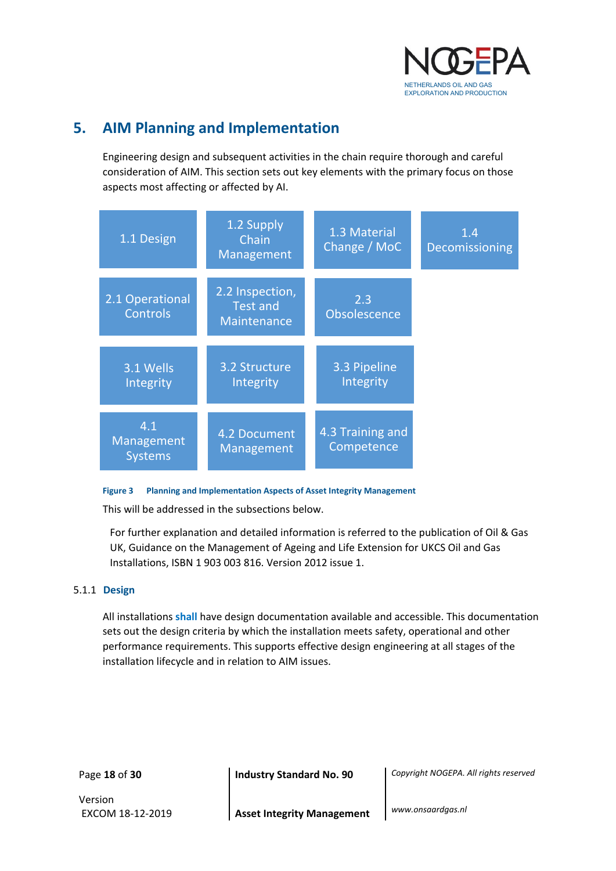

### <span id="page-17-0"></span>**5. AIM Planning and Implementation**

Engineering design and subsequent activities in the chain require thorough and careful consideration of AIM. This section sets out key elements with the primary focus on those aspects most affecting or affected by AI.



### **Figure 3 Planning and Implementation Aspects of Asset Integrity Management**

This will be addressed in the subsections below.

For further explanation and detailed information is referred to the publication of Oil & Gas UK, Guidance on the Management of Ageing and Life Extension for UKCS Oil and Gas Installations, ISBN 1 903 003 816. Version 2012 issue 1.

### <span id="page-17-1"></span>5.1.1 **Design**

All installations **shall** have design documentation available and accessible. This documentation sets out the design criteria by which the installation meets safety, operational and other performance requirements. This supports effective design engineering at all stages of the installation lifecycle and in relation to AIM issues.

Version

Page **18** of **30 Industry Standard No. 90** *Copyright NOGEPA. All rights reserved*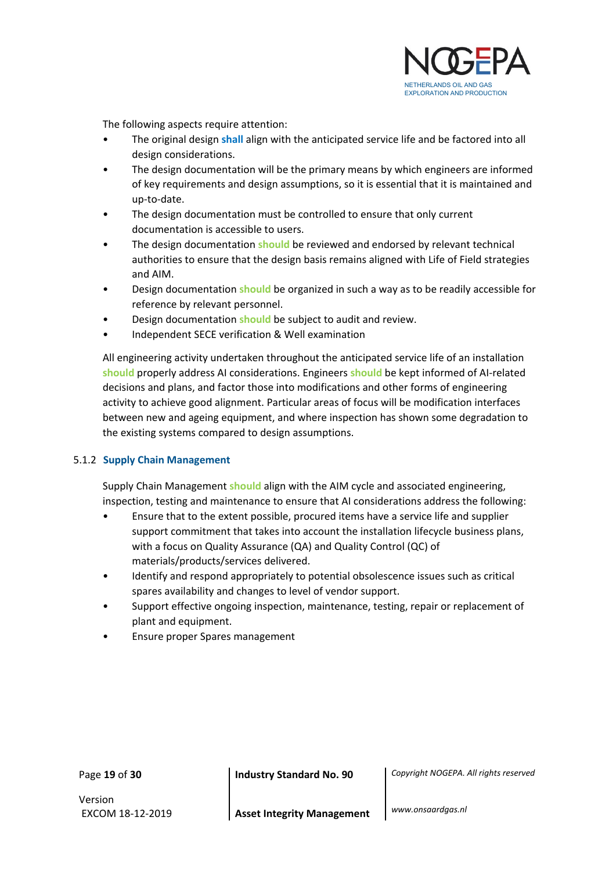

The following aspects require attention:

- The original design **shall** align with the anticipated service life and be factored into all design considerations.
- The design documentation will be the primary means by which engineers are informed of key requirements and design assumptions, so it is essential that it is maintained and up-to-date.
- The design documentation must be controlled to ensure that only current documentation is accessible to users.
- The design documentation **should** be reviewed and endorsed by relevant technical authorities to ensure that the design basis remains aligned with Life of Field strategies and AIM.
- Design documentation **should** be organized in such a way as to be readily accessible for reference by relevant personnel.
- Design documentation **should** be subject to audit and review.
- Independent SECE verification & Well examination

All engineering activity undertaken throughout the anticipated service life of an installation **should** properly address AI considerations. Engineers **should** be kept informed of AI-related decisions and plans, and factor those into modifications and other forms of engineering activity to achieve good alignment. Particular areas of focus will be modification interfaces between new and ageing equipment, and where inspection has shown some degradation to the existing systems compared to design assumptions.

### <span id="page-18-0"></span>5.1.2 **Supply Chain Management**

Supply Chain Management **should** align with the AIM cycle and associated engineering, inspection, testing and maintenance to ensure that AI considerations address the following:

- Ensure that to the extent possible, procured items have a service life and supplier support commitment that takes into account the installation lifecycle business plans, with a focus on Quality Assurance (QA) and Quality Control (QC) of materials/products/services delivered.
- Identify and respond appropriately to potential obsolescence issues such as critical spares availability and changes to level of vendor support.
- Support effective ongoing inspection, maintenance, testing, repair or replacement of plant and equipment.
- Ensure proper Spares management

Version

Page **19** of **30 Industry Standard No. 90** *Copyright NOGEPA. All rights reserved*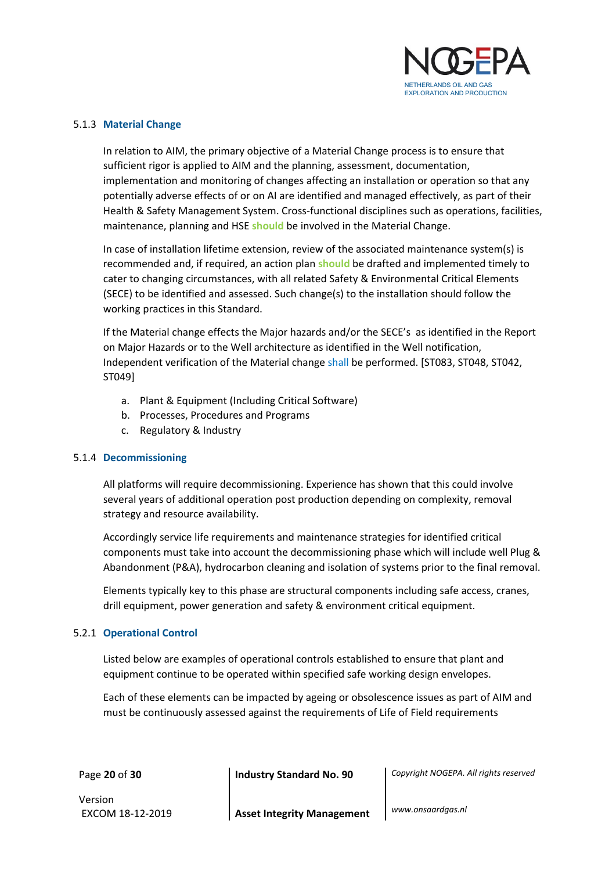

#### <span id="page-19-0"></span>5.1.3 **Material Change**

In relation to AIM, the primary objective of a Material Change process is to ensure that sufficient rigor is applied to AIM and the planning, assessment, documentation, implementation and monitoring of changes affecting an installation or operation so that any potentially adverse effects of or on AI are identified and managed effectively, as part of their Health & Safety Management System. Cross-functional disciplines such as operations, facilities, maintenance, planning and HSE **should** be involved in the Material Change.

In case of installation lifetime extension, review of the associated maintenance system(s) is recommended and, if required, an action plan **should** be drafted and implemented timely to cater to changing circumstances, with all related Safety & Environmental Critical Elements (SECE) to be identified and assessed. Such change(s) to the installation should follow the working practices in this Standard.

If the Material change effects the Major hazards and/or the SECE's as identified in the Report on Major Hazards or to the Well architecture as identified in the Well notification, Independent verification of the Material change shall be performed. [ST083, ST048, ST042, ST049]

- a. Plant & Equipment (Including Critical Software)
- b. Processes, Procedures and Programs
- c. Regulatory & Industry

### <span id="page-19-1"></span>5.1.4 **Decommissioning**

All platforms will require decommissioning. Experience has shown that this could involve several years of additional operation post production depending on complexity, removal strategy and resource availability.

Accordingly service life requirements and maintenance strategies for identified critical components must take into account the decommissioning phase which will include well Plug & Abandonment (P&A), hydrocarbon cleaning and isolation of systems prior to the final removal.

Elements typically key to this phase are structural components including safe access, cranes, drill equipment, power generation and safety & environment critical equipment.

#### <span id="page-19-2"></span>5.2.1 **Operational Control**

Listed below are examples of operational controls established to ensure that plant and equipment continue to be operated within specified safe working design envelopes.

Each of these elements can be impacted by ageing or obsolescence issues as part of AIM and must be continuously assessed against the requirements of Life of Field requirements

Page **20** of **30 Industry Standard No. 90** *Copyright NOGEPA. All rights reserved*

Version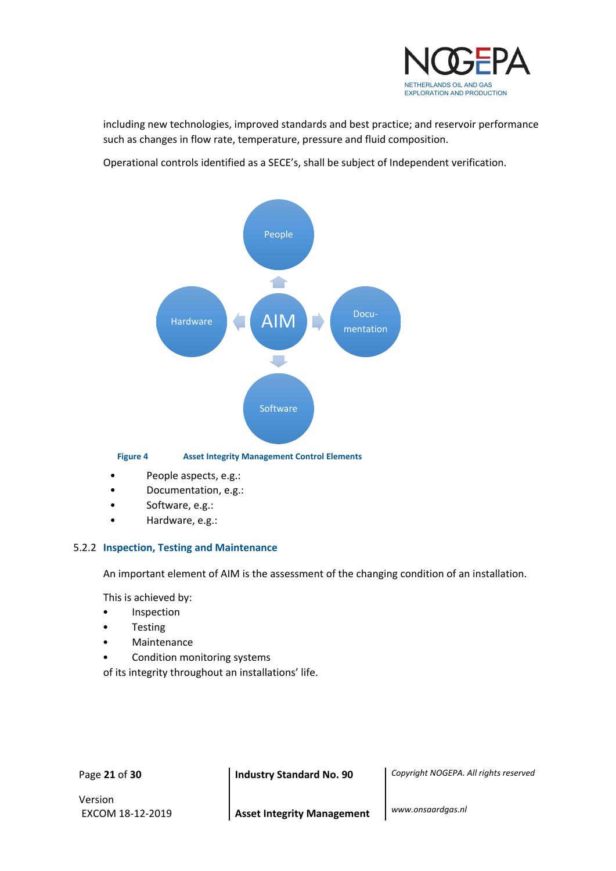

including new technologies, improved standards and best practice; and reservoir performance such as changes in flow rate, temperature, pressure and fluid composition.

Operational controls identified as a SECE's, shall be subject of Independent verification.



- People aspects, e.g.:
- Documentation, e.g.:
- Software, e.g.:
- Hardware, e.g.:

### <span id="page-20-0"></span>5.2.2 **Inspection, Testing and Maintenance**

An important element of AIM is the assessment of the changing condition of an installation.

This is achieved by:

- Inspection
- **Testing**
- **Maintenance**
- Condition monitoring systems

of its integrity throughout an installations' life.

Page **21** of **30 Industry Standard No. 90** *Copyright NOGEPA. All rights reserved*

Version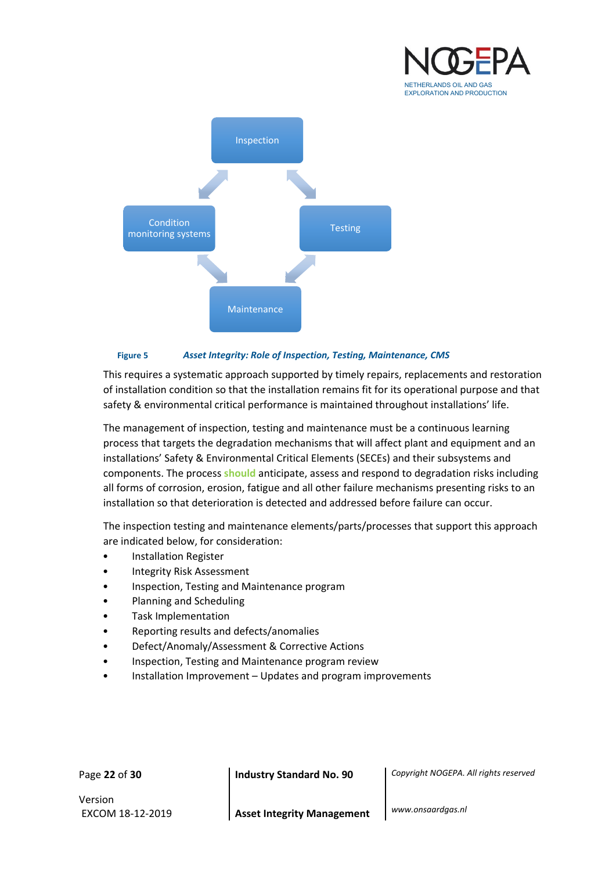



#### **Figure 5** *Asset Integrity: Role of Inspection, Testing, Maintenance, CMS*

This requires a systematic approach supported by timely repairs, replacements and restoration of installation condition so that the installation remains fit for its operational purpose and that safety & environmental critical performance is maintained throughout installations' life.

The management of inspection, testing and maintenance must be a continuous learning process that targets the degradation mechanisms that will affect plant and equipment and an installations' Safety & Environmental Critical Elements (SECEs) and their subsystems and components. The process **should** anticipate, assess and respond to degradation risks including all forms of corrosion, erosion, fatigue and all other failure mechanisms presenting risks to an installation so that deterioration is detected and addressed before failure can occur.

The inspection testing and maintenance elements/parts/processes that support this approach are indicated below, for consideration:

- Installation Register
- Integrity Risk Assessment
- Inspection, Testing and Maintenance program
- Planning and Scheduling
- Task Implementation
- Reporting results and defects/anomalies
- Defect/Anomaly/Assessment & Corrective Actions
- Inspection, Testing and Maintenance program review
- Installation Improvement Updates and program improvements

Page **22** of **30 Industry Standard No. 90** *Copyright NOGEPA. All rights reserved*

Version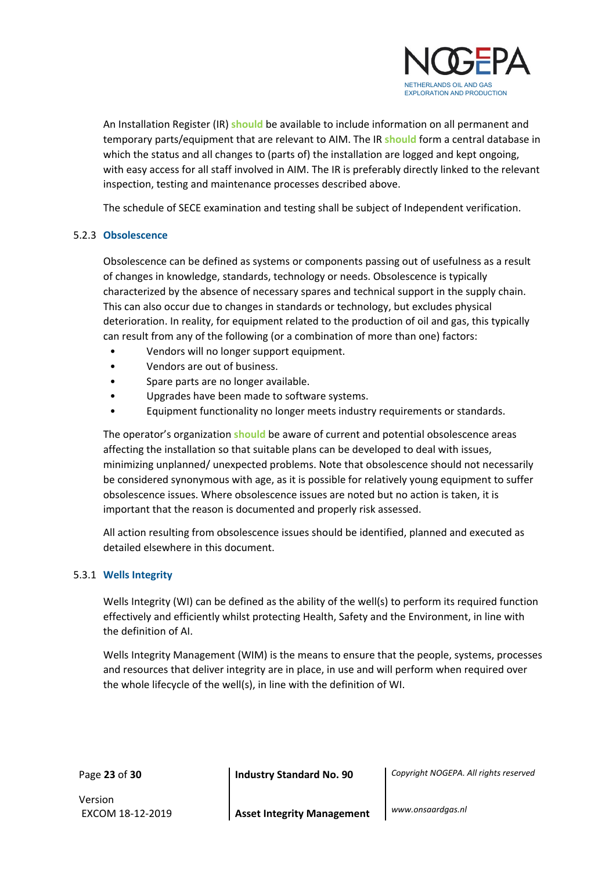

An Installation Register (IR) **should** be available to include information on all permanent and temporary parts/equipment that are relevant to AIM. The IR **should** form a central database in which the status and all changes to (parts of) the installation are logged and kept ongoing, with easy access for all staff involved in AIM. The IR is preferably directly linked to the relevant inspection, testing and maintenance processes described above.

The schedule of SECE examination and testing shall be subject of Independent verification.

### <span id="page-22-0"></span>5.2.3 **Obsolescence**

Obsolescence can be defined as systems or components passing out of usefulness as a result of changes in knowledge, standards, technology or needs. Obsolescence is typically characterized by the absence of necessary spares and technical support in the supply chain. This can also occur due to changes in standards or technology, but excludes physical deterioration. In reality, for equipment related to the production of oil and gas, this typically can result from any of the following (or a combination of more than one) factors:

- Vendors will no longer support equipment.
- Vendors are out of business.
- Spare parts are no longer available.
- Upgrades have been made to software systems.
- Equipment functionality no longer meets industry requirements or standards.

The operator's organization **should** be aware of current and potential obsolescence areas affecting the installation so that suitable plans can be developed to deal with issues, minimizing unplanned/ unexpected problems. Note that obsolescence should not necessarily be considered synonymous with age, as it is possible for relatively young equipment to suffer obsolescence issues. Where obsolescence issues are noted but no action is taken, it is important that the reason is documented and properly risk assessed.

All action resulting from obsolescence issues should be identified, planned and executed as detailed elsewhere in this document.

### <span id="page-22-1"></span>5.3.1 **Wells Integrity**

Wells Integrity (WI) can be defined as the ability of the well(s) to perform its required function effectively and efficiently whilst protecting Health, Safety and the Environment, in line with the definition of AI.

Wells Integrity Management (WIM) is the means to ensure that the people, systems, processes and resources that deliver integrity are in place, in use and will perform when required over the whole lifecycle of the well(s), in line with the definition of WI.

Page **23** of **30 Industry Standard No. 90** *Copyright NOGEPA. All rights reserved*

Version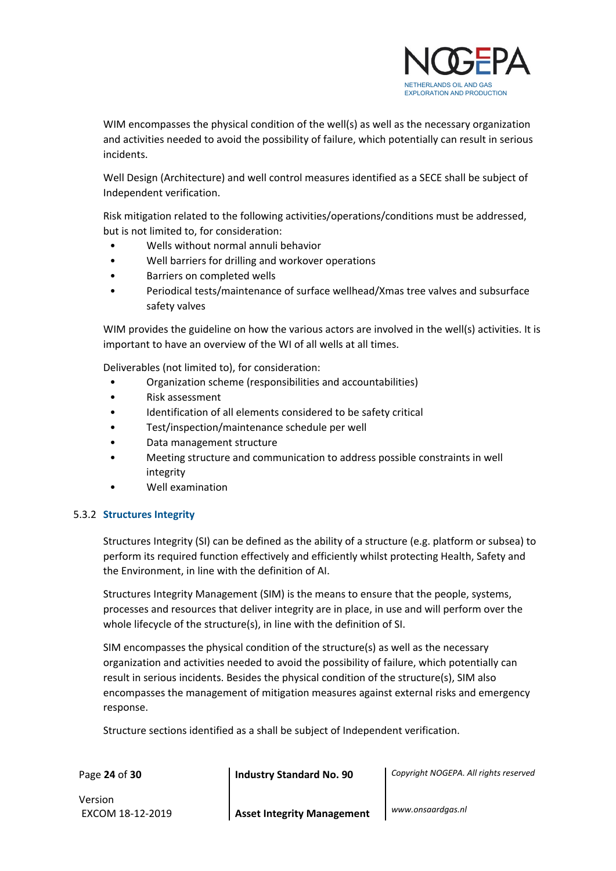

WIM encompasses the physical condition of the well(s) as well as the necessary organization and activities needed to avoid the possibility of failure, which potentially can result in serious incidents.

Well Design (Architecture) and well control measures identified as a SECE shall be subject of Independent verification.

Risk mitigation related to the following activities/operations/conditions must be addressed, but is not limited to, for consideration:

- Wells without normal annuli behavior
- Well barriers for drilling and workover operations
- Barriers on completed wells
- Periodical tests/maintenance of surface wellhead/Xmas tree valves and subsurface safety valves

WIM provides the guideline on how the various actors are involved in the well(s) activities. It is important to have an overview of the WI of all wells at all times.

Deliverables (not limited to), for consideration:

- Organization scheme (responsibilities and accountabilities)
- Risk assessment
- Identification of all elements considered to be safety critical
- Test/inspection/maintenance schedule per well
- Data management structure
- Meeting structure and communication to address possible constraints in well integrity
- Well examination

### <span id="page-23-0"></span>5.3.2 **Structures Integrity**

Structures Integrity (SI) can be defined as the ability of a structure (e.g. platform or subsea) to perform its required function effectively and efficiently whilst protecting Health, Safety and the Environment, in line with the definition of AI.

Structures Integrity Management (SIM) is the means to ensure that the people, systems, processes and resources that deliver integrity are in place, in use and will perform over the whole lifecycle of the structure(s), in line with the definition of SI.

SIM encompasses the physical condition of the structure(s) as well as the necessary organization and activities needed to avoid the possibility of failure, which potentially can result in serious incidents. Besides the physical condition of the structure(s), SIM also encompasses the management of mitigation measures against external risks and emergency response.

Structure sections identified as a shall be subject of Independent verification.

Page **24** of **30 Industry Standard No. 90** *Copyright NOGEPA. All rights reserved*

Version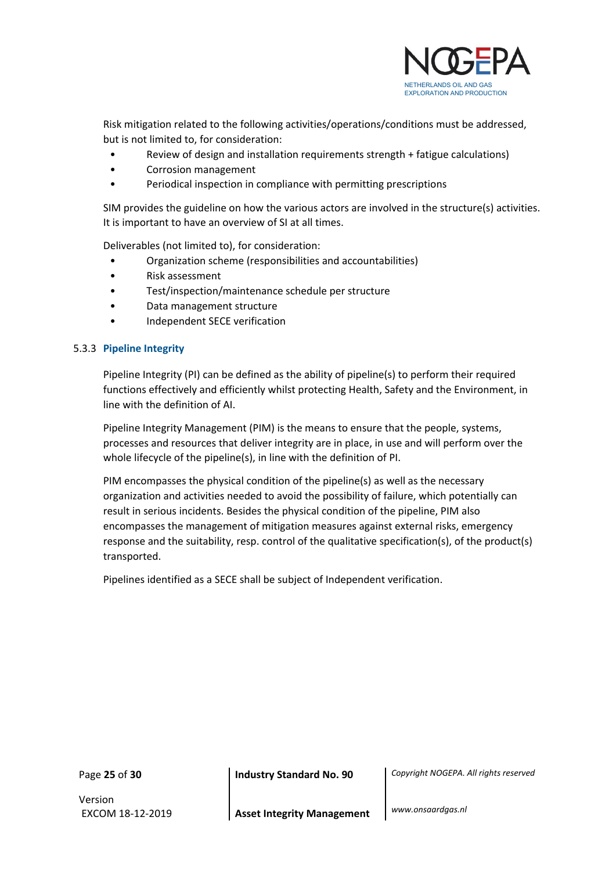

Risk mitigation related to the following activities/operations/conditions must be addressed, but is not limited to, for consideration:

- Review of design and installation requirements strength + fatigue calculations)
- Corrosion management
- Periodical inspection in compliance with permitting prescriptions

SIM provides the guideline on how the various actors are involved in the structure(s) activities. It is important to have an overview of SI at all times.

Deliverables (not limited to), for consideration:

- Organization scheme (responsibilities and accountabilities)
- Risk assessment
- Test/inspection/maintenance schedule per structure
- Data management structure
- Independent SECE verification

### <span id="page-24-0"></span>5.3.3 **Pipeline Integrity**

Pipeline Integrity (PI) can be defined as the ability of pipeline(s) to perform their required functions effectively and efficiently whilst protecting Health, Safety and the Environment, in line with the definition of AI.

Pipeline Integrity Management (PIM) is the means to ensure that the people, systems, processes and resources that deliver integrity are in place, in use and will perform over the whole lifecycle of the pipeline(s), in line with the definition of PI.

PIM encompasses the physical condition of the pipeline(s) as well as the necessary organization and activities needed to avoid the possibility of failure, which potentially can result in serious incidents. Besides the physical condition of the pipeline, PIM also encompasses the management of mitigation measures against external risks, emergency response and the suitability, resp. control of the qualitative specification(s), of the product(s) transported.

Pipelines identified as a SECE shall be subject of Independent verification.

Version

Page **25** of **30 Industry Standard No. 90** *Copyright NOGEPA. All rights reserved*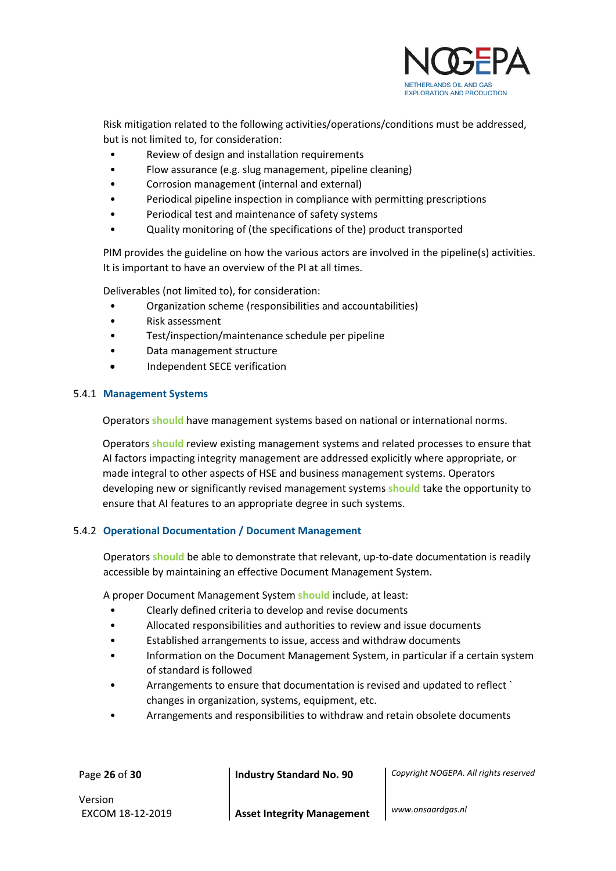

Risk mitigation related to the following activities/operations/conditions must be addressed, but is not limited to, for consideration:

- Review of design and installation requirements
- Flow assurance (e.g. slug management, pipeline cleaning)
- Corrosion management (internal and external)
- Periodical pipeline inspection in compliance with permitting prescriptions
- Periodical test and maintenance of safety systems
- Quality monitoring of (the specifications of the) product transported

PIM provides the guideline on how the various actors are involved in the pipeline(s) activities. It is important to have an overview of the PI at all times.

Deliverables (not limited to), for consideration:

- Organization scheme (responsibilities and accountabilities)
- Risk assessment
- Test/inspection/maintenance schedule per pipeline
- Data management structure
- Independent SECE verification

### <span id="page-25-0"></span>5.4.1 **Management Systems**

Operators **should** have management systems based on national or international norms.

Operators **should** review existing management systems and related processes to ensure that AI factors impacting integrity management are addressed explicitly where appropriate, or made integral to other aspects of HSE and business management systems. Operators developing new or significantly revised management systems **should** take the opportunity to ensure that AI features to an appropriate degree in such systems.

### <span id="page-25-1"></span>5.4.2 **Operational Documentation / Document Management**

Operators **should** be able to demonstrate that relevant, up-to-date documentation is readily accessible by maintaining an effective Document Management System.

A proper Document Management System **should** include, at least:

- Clearly defined criteria to develop and revise documents
- Allocated responsibilities and authorities to review and issue documents
- Established arrangements to issue, access and withdraw documents
- Information on the Document Management System, in particular if a certain system of standard is followed
- Arrangements to ensure that documentation is revised and updated to reflect ` changes in organization, systems, equipment, etc.
- Arrangements and responsibilities to withdraw and retain obsolete documents

Page **26** of **30 Industry Standard No. 90** *Copyright NOGEPA. All rights reserved*

Version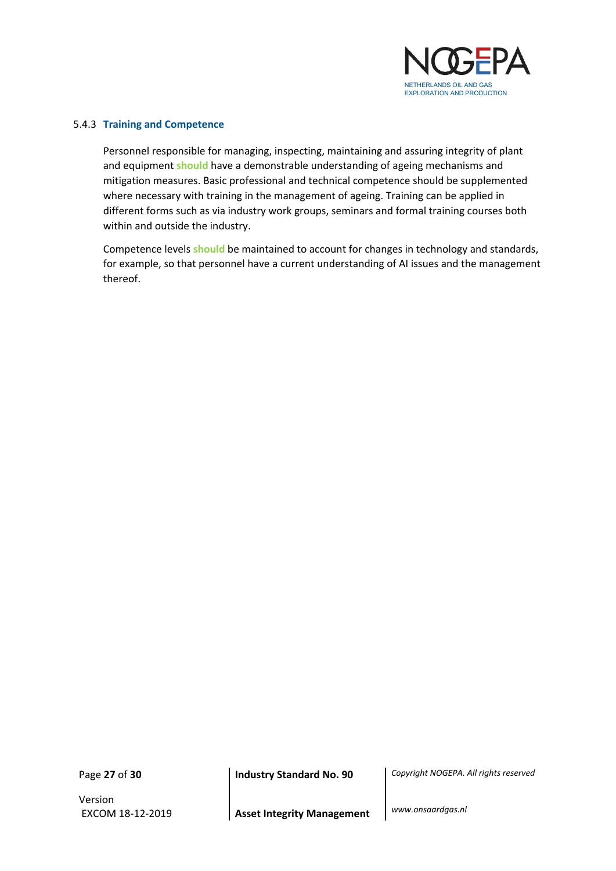

#### <span id="page-26-0"></span>5.4.3 **Training and Competence**

Personnel responsible for managing, inspecting, maintaining and assuring integrity of plant and equipment **should** have a demonstrable understanding of ageing mechanisms and mitigation measures. Basic professional and technical competence should be supplemented where necessary with training in the management of ageing. Training can be applied in different forms such as via industry work groups, seminars and formal training courses both within and outside the industry.

Competence levels **should** be maintained to account for changes in technology and standards, for example, so that personnel have a current understanding of AI issues and the management thereof.

Version

Page **27** of **30 Industry Standard No. 90** *Copyright NOGEPA. All rights reserved*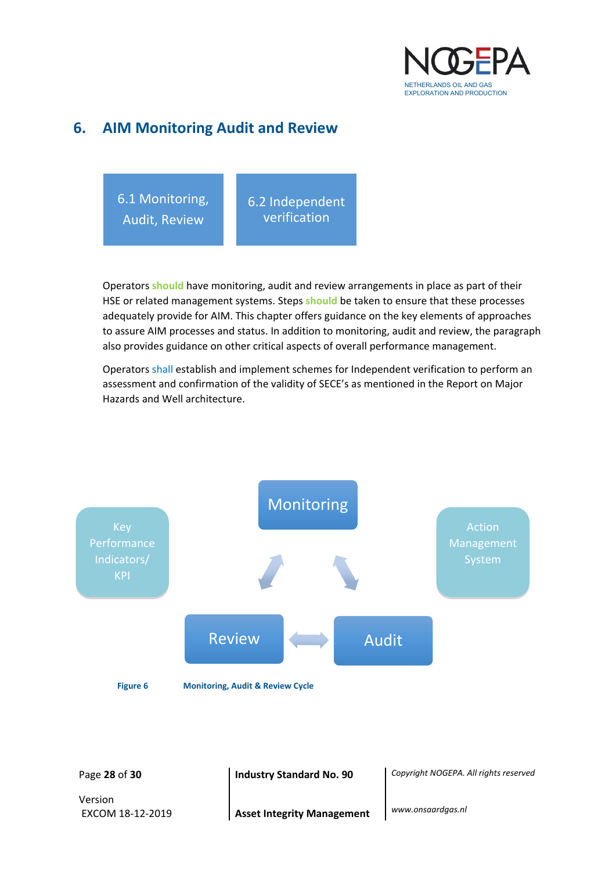

### <span id="page-27-0"></span>**6. AIM Monitoring Audit and Review**



Operators **should** have monitoring, audit and review arrangements in place as part of their HSE or related management systems. Steps **should** be taken to ensure that these processes adequately provide for AIM. This chapter offers guidance on the key elements of approaches to assure AIM processes and status. In addition to monitoring, audit and review, the paragraph also provides guidance on other critical aspects of overall performance management.

Operators shall establish and implement schemes for Independent verification to perform an assessment and confirmation of the validity of SECE's as mentioned in the Report on Major Hazards and Well architecture.



Version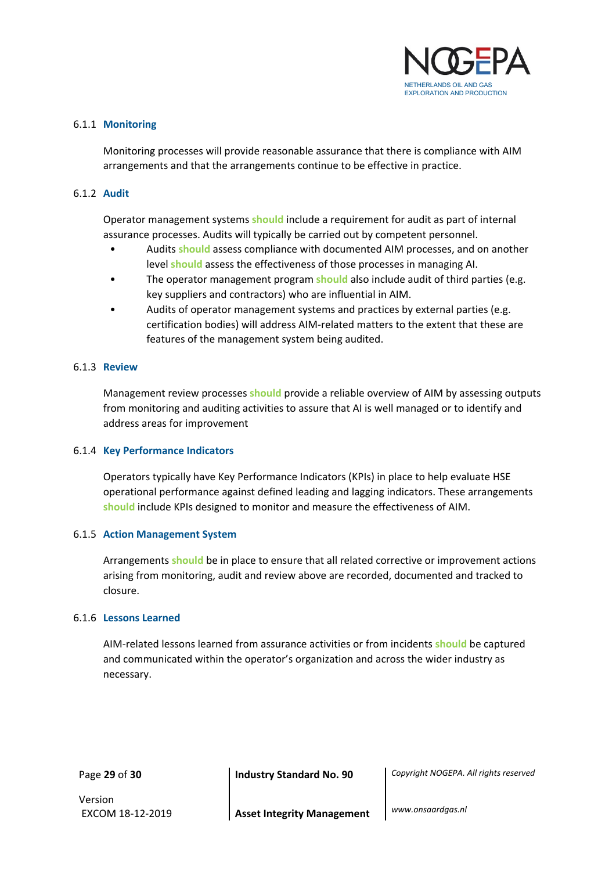

### <span id="page-28-0"></span>6.1.1 **Monitoring**

Monitoring processes will provide reasonable assurance that there is compliance with AIM arrangements and that the arrangements continue to be effective in practice.

### <span id="page-28-1"></span>6.1.2 **Audit**

Operator management systems **should** include a requirement for audit as part of internal assurance processes. Audits will typically be carried out by competent personnel.

- Audits **should** assess compliance with documented AIM processes, and on another level **should** assess the effectiveness of those processes in managing AI.
- The operator management program **should** also include audit of third parties (e.g. key suppliers and contractors) who are influential in AIM.
- Audits of operator management systems and practices by external parties (e.g. certification bodies) will address AIM-related matters to the extent that these are features of the management system being audited.

### <span id="page-28-2"></span>6.1.3 **Review**

Management review processes **should** provide a reliable overview of AIM by assessing outputs from monitoring and auditing activities to assure that AI is well managed or to identify and address areas for improvement

#### <span id="page-28-3"></span>6.1.4 **Key Performance Indicators**

Operators typically have Key Performance Indicators (KPIs) in place to help evaluate HSE operational performance against defined leading and lagging indicators. These arrangements **should** include KPIs designed to monitor and measure the effectiveness of AIM.

### <span id="page-28-4"></span>6.1.5 **Action Management System**

Arrangements **should** be in place to ensure that all related corrective or improvement actions arising from monitoring, audit and review above are recorded, documented and tracked to closure.

#### <span id="page-28-5"></span>6.1.6 **Lessons Learned**

AIM-related lessons learned from assurance activities or from incidents **should** be captured and communicated within the operator's organization and across the wider industry as necessary.

Version

Page **29** of **30 Industry Standard No. 90** *Copyright NOGEPA. All rights reserved*